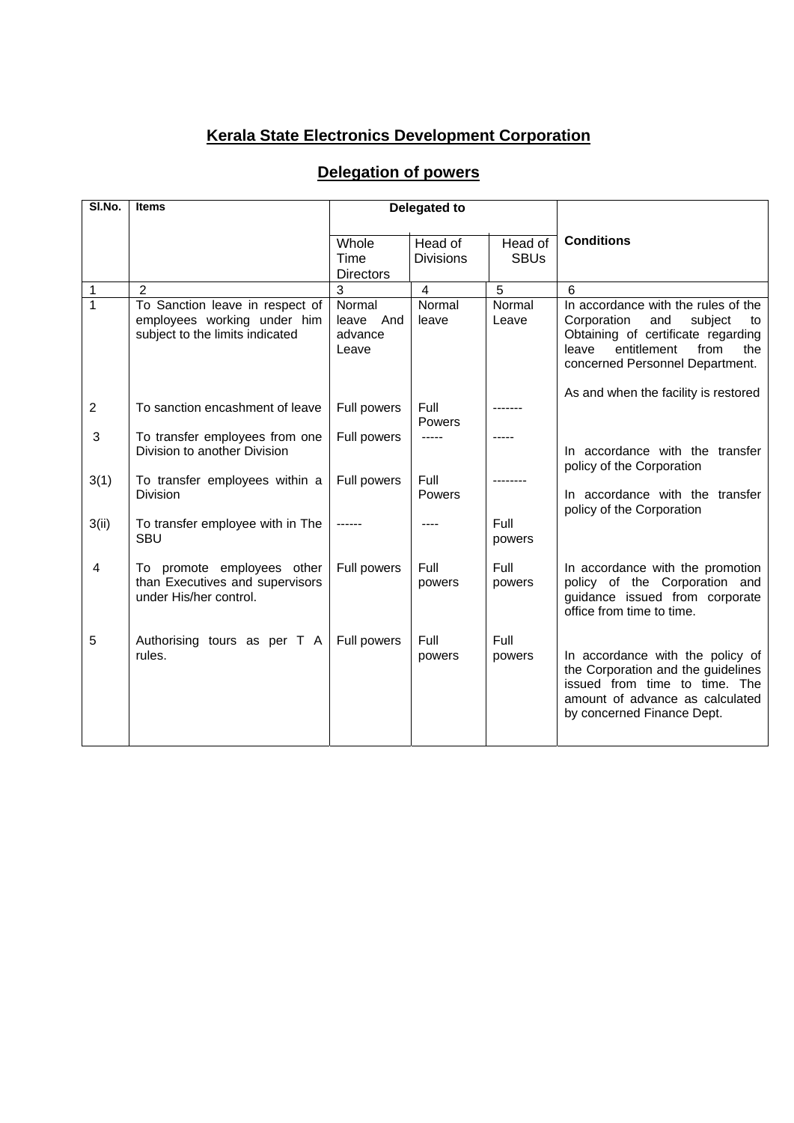## **Kerala State Electronics Development Corporation**

## **Delegation of powers**

| SI.No.         | <b>Items</b>                                                                                      | <b>Delegated to</b>                     |                  |                 |                                                                                                                                                                                            |  |
|----------------|---------------------------------------------------------------------------------------------------|-----------------------------------------|------------------|-----------------|--------------------------------------------------------------------------------------------------------------------------------------------------------------------------------------------|--|
|                |                                                                                                   |                                         |                  |                 |                                                                                                                                                                                            |  |
|                |                                                                                                   | Whole                                   | Head of          | Head of         | <b>Conditions</b>                                                                                                                                                                          |  |
|                |                                                                                                   | Time                                    | <b>Divisions</b> | <b>SBUs</b>     |                                                                                                                                                                                            |  |
|                |                                                                                                   | <b>Directors</b>                        |                  |                 |                                                                                                                                                                                            |  |
| 1              | $\overline{2}$                                                                                    | 3                                       | $\overline{4}$   | 5               | 6                                                                                                                                                                                          |  |
| $\mathbf{1}$   | To Sanction leave in respect of<br>employees working under him<br>subject to the limits indicated | Normal<br>leave And<br>advance<br>Leave | Normal<br>leave  | Normal<br>Leave | In accordance with the rules of the<br>Corporation<br>and<br>subject<br>to<br>Obtaining of certificate regarding<br>entitlement<br>from<br>leave<br>the<br>concerned Personnel Department. |  |
| $\overline{2}$ | To sanction encashment of leave                                                                   | Full powers                             | Full<br>Powers   |                 | As and when the facility is restored                                                                                                                                                       |  |
| 3              | To transfer employees from one<br>Division to another Division                                    | Full powers                             | -----            |                 | In accordance with the transfer<br>policy of the Corporation                                                                                                                               |  |
| 3(1)           | To transfer employees within a<br><b>Division</b>                                                 | Full powers                             | Full<br>Powers   |                 | In accordance with the transfer<br>policy of the Corporation                                                                                                                               |  |
| 3(ii)          | To transfer employee with in The<br><b>SBU</b>                                                    |                                         |                  | Full<br>powers  |                                                                                                                                                                                            |  |
| 4              | To promote employees other<br>than Executives and supervisors<br>under His/her control.           | Full powers                             | Full<br>powers   | Full<br>powers  | In accordance with the promotion<br>policy of the Corporation and<br>quidance issued from corporate<br>office from time to time.                                                           |  |
| 5              | Authorising tours as per T A<br>rules.                                                            | Full powers                             | Full<br>powers   | Full<br>powers  | In accordance with the policy of<br>the Corporation and the guidelines<br>issued from time to time. The<br>amount of advance as calculated<br>by concerned Finance Dept.                   |  |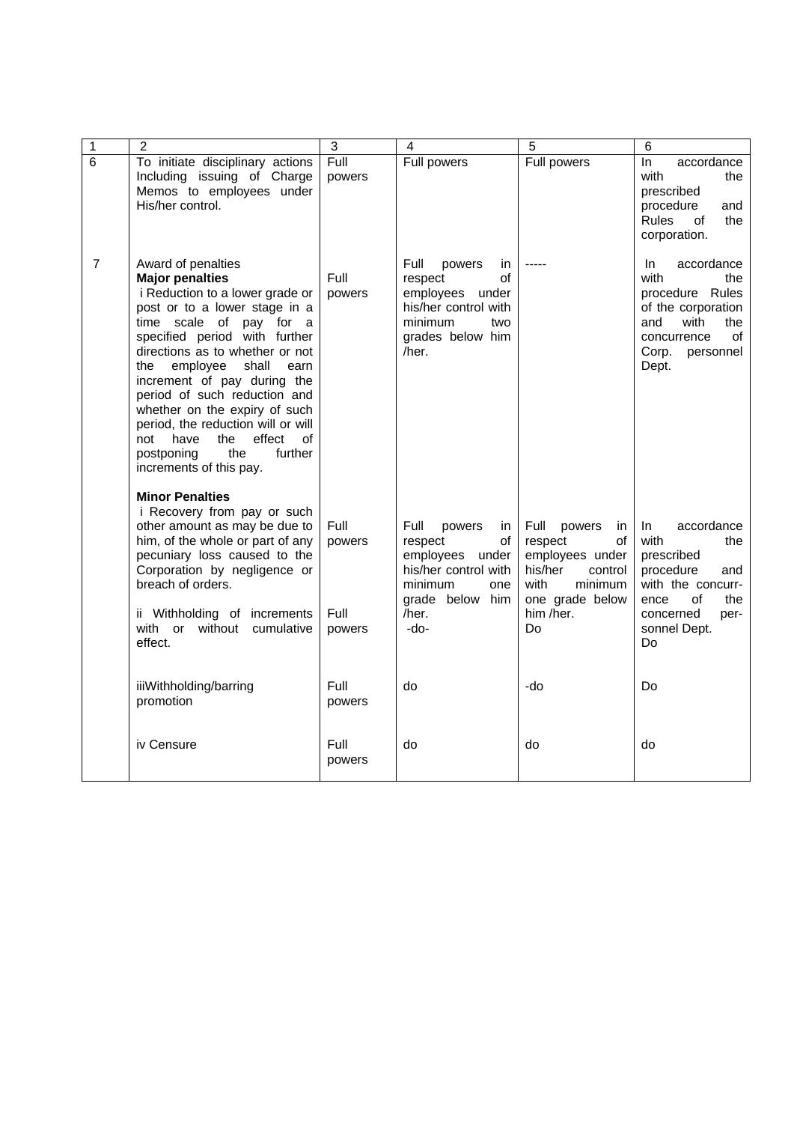| $\mathbf{1}$   | $\overline{2}$                                                                                                                                                                                                                                                                                                                                                                                                                                                                             | 3                                | 4                                                                                                                                      | 5                                                                                                                                       | 6                                                                                                                                                      |
|----------------|--------------------------------------------------------------------------------------------------------------------------------------------------------------------------------------------------------------------------------------------------------------------------------------------------------------------------------------------------------------------------------------------------------------------------------------------------------------------------------------------|----------------------------------|----------------------------------------------------------------------------------------------------------------------------------------|-----------------------------------------------------------------------------------------------------------------------------------------|--------------------------------------------------------------------------------------------------------------------------------------------------------|
| $\overline{6}$ | To initiate disciplinary actions<br>Including issuing of Charge<br>Memos to employees under<br>His/her control.                                                                                                                                                                                                                                                                                                                                                                            | Full<br>powers                   | Full powers                                                                                                                            | Full powers                                                                                                                             | ln<br>accordance<br>with<br>the<br>prescribed<br>procedure<br>and<br><b>Rules</b><br>οf<br>the<br>corporation.                                         |
| $\overline{7}$ | Award of penalties<br><b>Major penalties</b><br>i Reduction to a lower grade or<br>post or to a lower stage in a<br>time scale of pay for a<br>specified period with further<br>directions as to whether or not<br>employee<br>the<br>shall<br>earn<br>increment of pay during the<br>period of such reduction and<br>whether on the expiry of such<br>period, the reduction will or will<br>have<br>the<br>effect<br>not<br>of<br>the<br>further<br>postponing<br>increments of this pay. | Full<br>powers                   | Full<br>powers<br>in.<br>οf<br>respect<br>employees<br>under<br>his/her control with<br>minimum<br>two<br>grades below him<br>/her.    |                                                                                                                                         | accordance<br>In.<br>with<br>the<br>procedure Rules<br>of the corporation<br>and<br>with<br>the<br>concurrence<br>of<br>Corp.<br>personnel<br>Dept.    |
|                | <b>Minor Penalties</b><br>i Recovery from pay or such<br>other amount as may be due to<br>him, of the whole or part of any<br>pecuniary loss caused to the<br>Corporation by negligence or<br>breach of orders.<br>ii Withholding of increments<br>with or without cumulative<br>effect.                                                                                                                                                                                                   | Full<br>powers<br>Full<br>powers | Full<br>powers<br>in<br>respect<br>οf<br>employees under<br>his/her control with<br>minimum<br>one<br>grade below him<br>/her.<br>-do- | Full<br>powers<br>in<br>respect<br>οf<br>employees under<br>his/her<br>control<br>with<br>minimum<br>one grade below<br>him /her.<br>Do | accordance<br>In<br>with<br>the<br>prescribed<br>procedure<br>and<br>with the concurr-<br>ence<br>of<br>the<br>concerned<br>per-<br>sonnel Dept.<br>Do |
|                | iiiWithholding/barring<br>promotion                                                                                                                                                                                                                                                                                                                                                                                                                                                        | Full<br>powers                   | do                                                                                                                                     | -do                                                                                                                                     | Do                                                                                                                                                     |
|                | iv Censure                                                                                                                                                                                                                                                                                                                                                                                                                                                                                 | Full<br>powers                   | do                                                                                                                                     | do                                                                                                                                      | do                                                                                                                                                     |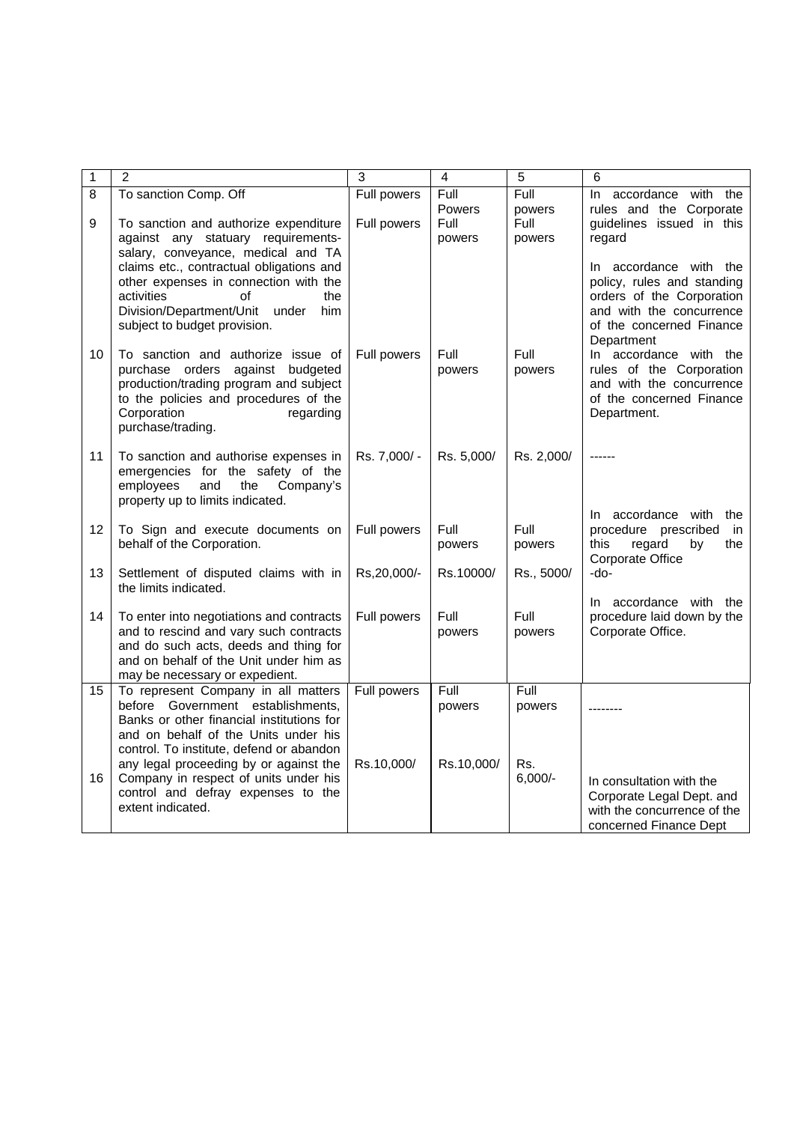| $\mathbf 1$ | $\overline{2}$                                                                                                                                                                                             | 3                          | 4                                | 5                                | 6                                                                                                                                                       |
|-------------|------------------------------------------------------------------------------------------------------------------------------------------------------------------------------------------------------------|----------------------------|----------------------------------|----------------------------------|---------------------------------------------------------------------------------------------------------------------------------------------------------|
| 8<br>9      | To sanction Comp. Off<br>To sanction and authorize expenditure<br>against any statuary requirements-<br>salary, conveyance, medical and TA                                                                 | Full powers<br>Full powers | Full<br>Powers<br>Full<br>powers | Full<br>powers<br>Full<br>powers | $\ln$<br>accordance with the<br>rules and the Corporate<br>guidelines issued in this<br>regard                                                          |
|             | claims etc., contractual obligations and<br>other expenses in connection with the<br>activities<br>the<br>οf<br>Division/Department/Unit under<br>him<br>subject to budget provision.                      |                            |                                  |                                  | In accordance with the<br>policy, rules and standing<br>orders of the Corporation<br>and with the concurrence<br>of the concerned Finance<br>Department |
| 10          | To sanction and authorize issue of<br>purchase orders against budgeted<br>production/trading program and subject<br>to the policies and procedures of the<br>Corporation<br>regarding<br>purchase/trading. | Full powers                | Full<br>powers                   | Full<br>powers                   | In accordance with the<br>rules of the Corporation<br>and with the concurrence<br>of the concerned Finance<br>Department.                               |
| 11          | To sanction and authorise expenses in<br>emergencies for the safety of the<br>employees<br>and<br>Company's<br>the<br>property up to limits indicated.                                                     | Rs. 7,000/-                | Rs. 5,000/                       | Rs. 2,000/                       |                                                                                                                                                         |
| 12          | To Sign and execute documents on<br>behalf of the Corporation.                                                                                                                                             | Full powers                | Full<br>powers                   | Full<br>powers                   | In accordance with<br>the<br>procedure prescribed<br>in<br>this<br>regard<br>the<br>by<br>Corporate Office                                              |
| 13          | Settlement of disputed claims with in<br>the limits indicated.                                                                                                                                             | Rs, 20, 000/-              | Rs.10000/                        | Rs., 5000/                       | -do-                                                                                                                                                    |
| 14          | To enter into negotiations and contracts<br>and to rescind and vary such contracts<br>and do such acts, deeds and thing for<br>and on behalf of the Unit under him as<br>may be necessary or expedient.    | Full powers                | Full<br>powers                   | Full<br>powers                   | In accordance with the<br>procedure laid down by the<br>Corporate Office.                                                                               |
| 15          | To represent Company in all matters<br>before Government establishments,<br>Banks or other financial institutions for<br>and on behalf of the Units under his<br>control. To institute, defend or abandon  | Full powers                | Full<br>powers                   | Full<br>powers                   |                                                                                                                                                         |
| 16          | any legal proceeding by or against the<br>Company in respect of units under his<br>control and defray expenses to the<br>extent indicated.                                                                 | Rs.10,000/                 | Rs.10,000/                       | Rs.<br>$6,000/-$                 | In consultation with the<br>Corporate Legal Dept. and<br>with the concurrence of the<br>concerned Finance Dept                                          |